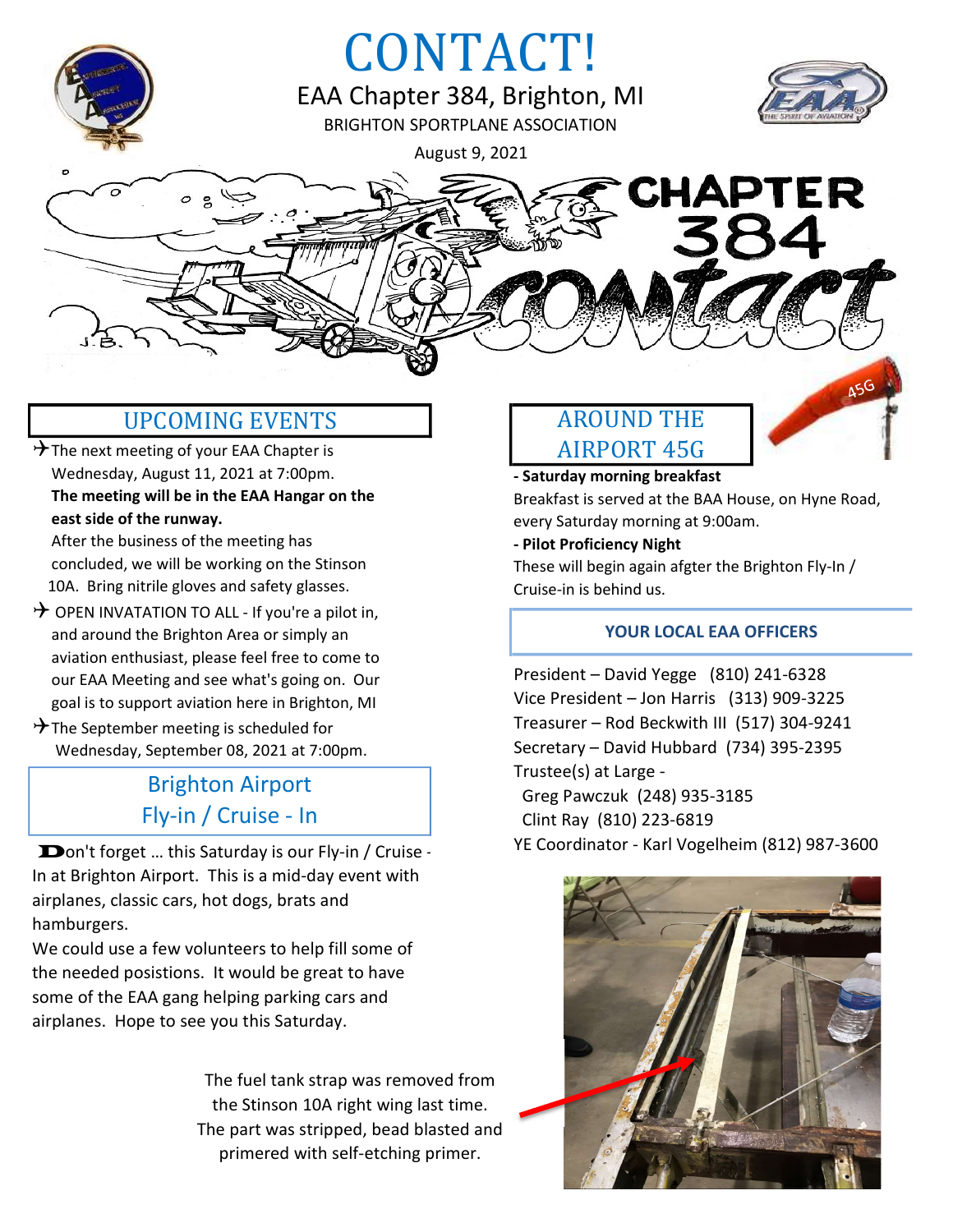

## UPCOMING EVENTS AROUND THE

 $\rightarrow$  The next meeting of your EAA Chapter is Wednesday, August 11, 2021 at 7:00pm. The meeting will be in the EAA Hangar on the east side of the runway.

 After the business of the meeting has concluded, we will be working on the Stinson 10A. Bring nitrile gloves and safety glasses.

- $\rightarrow$  OPEN INVATATION TO ALL If you're a pilot in, and around the Brighton Area or simply an aviation enthusiast, please feel free to come to our EAA Meeting and see what's going on. Our goal is to support aviation here in Brighton, MI
- $\rightarrow$  The September meeting is scheduled for Wednesday, September 08, 2021 at 7:00pm.

## Brighton Airport Fly-in / Cruise - In

Don't forget ... this Saturday is our Fly-in / Cruise -In at Brighton Airport. This is a mid-day event with airplanes, classic cars, hot dogs, brats and hamburgers.

We could use a few volunteers to help fill some of the needed posistions. It would be great to have some of the EAA gang helping parking cars and airplanes. Hope to see you this Saturday.

> The fuel tank strap was removed from the Stinson 10A right wing last time. The part was stripped, bead blasted and primered with self-etching primer.

# AIRPORT 45G

- Saturday morning breakfast Breakfast is served at the BAA House, on Hyne Road, every Saturday morning at 9:00am.

#### - Pilot Proficiency Night

These will begin again afgter the Brighton Fly-In / Cruise-in is behind us.

### YOUR LOCAL EAA OFFICERS

President – David Yegge (810) 241-6328 Vice President – Jon Harris (313) 909-3225 Treasurer – Rod Beckwith III (517) 304-9241 Secretary – David Hubbard (734) 395-2395 Trustee(s) at Large - Greg Pawczuk (248) 935-3185 Clint Ray (810) 223-6819 YE Coordinator - Karl Vogelheim (812) 987-3600